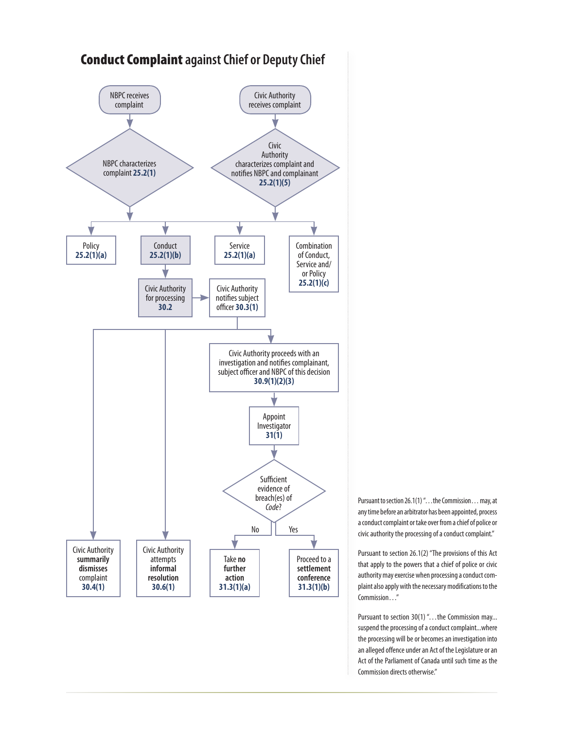

Pursuant to section 26.1(1) ". . . the Commission. . . may, at any time before an arbitrator has been appointed, process a conduct complaint or take over from a chief of police or civic authority the processing of a conduct complaint."

Pursuant to section 26.1(2) "The provisions of this Act that apply to the powers that a chief of police or civic authority may exercise when processing a conduct complaint also apply with the necessary modifications to the Commission…"

Pursuant to section 30(1) "...the Commission may... suspend the processing of a conduct complaint...where the processing will be or becomes an investigation into an alleged offence under an Act of the Legislature or an Act of the Parliament of Canada until such time as the Commission directs otherwise."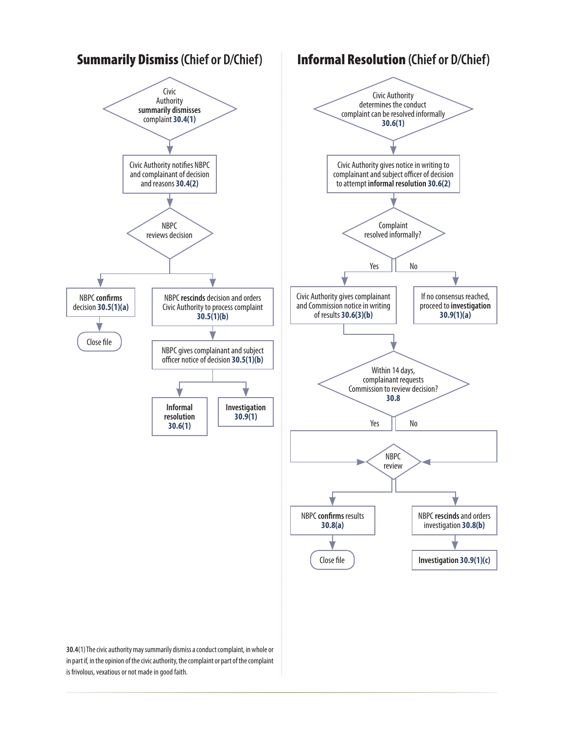

is frivolous, vexatious or not made in good faith.